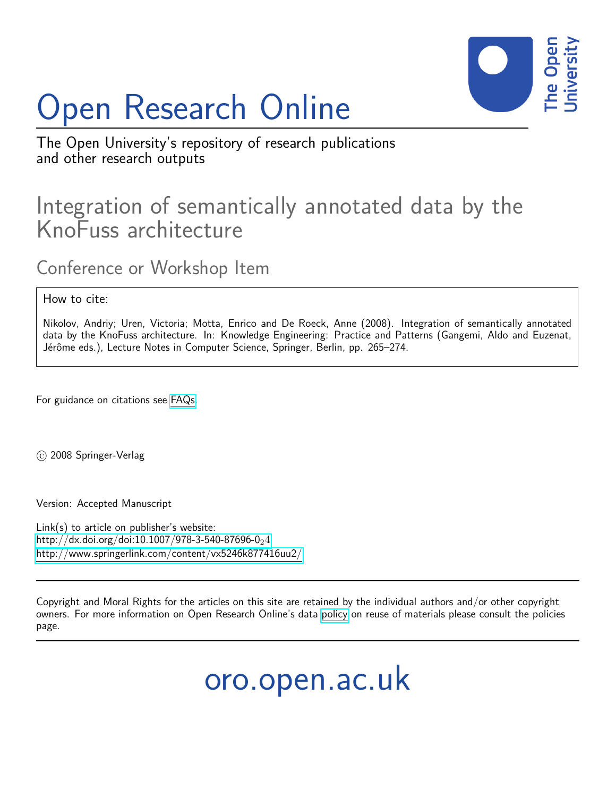# Open Research Online



The Open University's repository of research publications and other research outputs

## Integration of semantically annotated data by the KnoFuss architecture

Conference or Workshop Item

How to cite:

Nikolov, Andriy; Uren, Victoria; Motta, Enrico and De Roeck, Anne (2008). Integration of semantically annotated data by the KnoFuss architecture. In: Knowledge Engineering: Practice and Patterns (Gangemi, Aldo and Euzenat, Jérôme eds.), Lecture Notes in Computer Science, Springer, Berlin, pp. 265–274.

For guidance on citations see [FAQs.](http://oro.open.ac.uk/help/helpfaq.html)

c 2008 Springer-Verlag

Version: Accepted Manuscript

Link(s) to article on publisher's website: [http://dx.doi.org/doi:10.1007/978-3-540-87696-0](http://dx.doi.org/doi:10.1007/978-3-540-87696-0_24)24 <http://www.springerlink.com/content/vx5246k877416uu2/>

Copyright and Moral Rights for the articles on this site are retained by the individual authors and/or other copyright owners. For more information on Open Research Online's data [policy](http://oro.open.ac.uk/policies.html) on reuse of materials please consult the policies page.

oro.open.ac.uk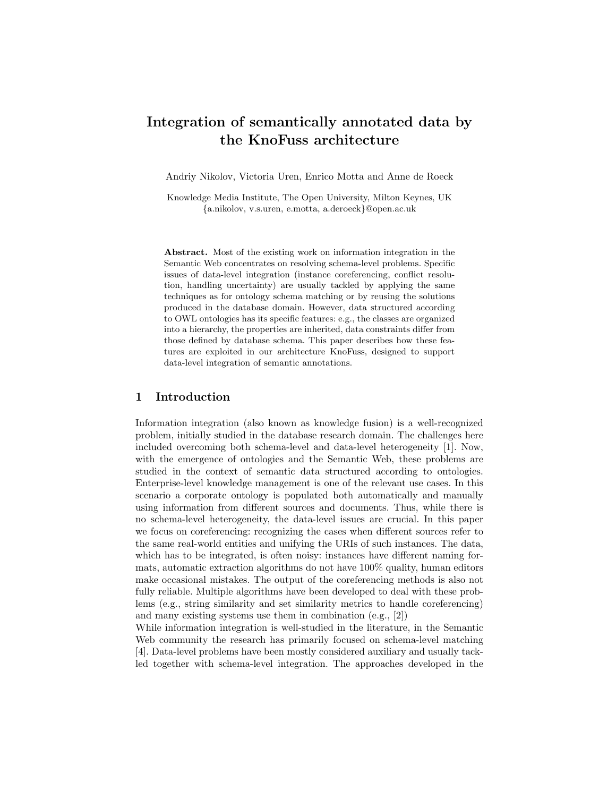### Integration of semantically annotated data by the KnoFuss architecture

Andriy Nikolov, Victoria Uren, Enrico Motta and Anne de Roeck

Knowledge Media Institute, The Open University, Milton Keynes, UK {a.nikolov, v.s.uren, e.motta, a.deroeck}@open.ac.uk

Abstract. Most of the existing work on information integration in the Semantic Web concentrates on resolving schema-level problems. Specific issues of data-level integration (instance coreferencing, conflict resolution, handling uncertainty) are usually tackled by applying the same techniques as for ontology schema matching or by reusing the solutions produced in the database domain. However, data structured according to OWL ontologies has its specific features: e.g., the classes are organized into a hierarchy, the properties are inherited, data constraints differ from those defined by database schema. This paper describes how these features are exploited in our architecture KnoFuss, designed to support data-level integration of semantic annotations.

#### 1 Introduction

Information integration (also known as knowledge fusion) is a well-recognized problem, initially studied in the database research domain. The challenges here included overcoming both schema-level and data-level heterogeneity [1]. Now, with the emergence of ontologies and the Semantic Web, these problems are studied in the context of semantic data structured according to ontologies. Enterprise-level knowledge management is one of the relevant use cases. In this scenario a corporate ontology is populated both automatically and manually using information from different sources and documents. Thus, while there is no schema-level heterogeneity, the data-level issues are crucial. In this paper we focus on coreferencing: recognizing the cases when different sources refer to the same real-world entities and unifying the URIs of such instances. The data, which has to be integrated, is often noisy: instances have different naming formats, automatic extraction algorithms do not have 100% quality, human editors make occasional mistakes. The output of the coreferencing methods is also not fully reliable. Multiple algorithms have been developed to deal with these problems (e.g., string similarity and set similarity metrics to handle coreferencing) and many existing systems use them in combination (e.g., [2])

While information integration is well-studied in the literature, in the Semantic Web community the research has primarily focused on schema-level matching [4]. Data-level problems have been mostly considered auxiliary and usually tackled together with schema-level integration. The approaches developed in the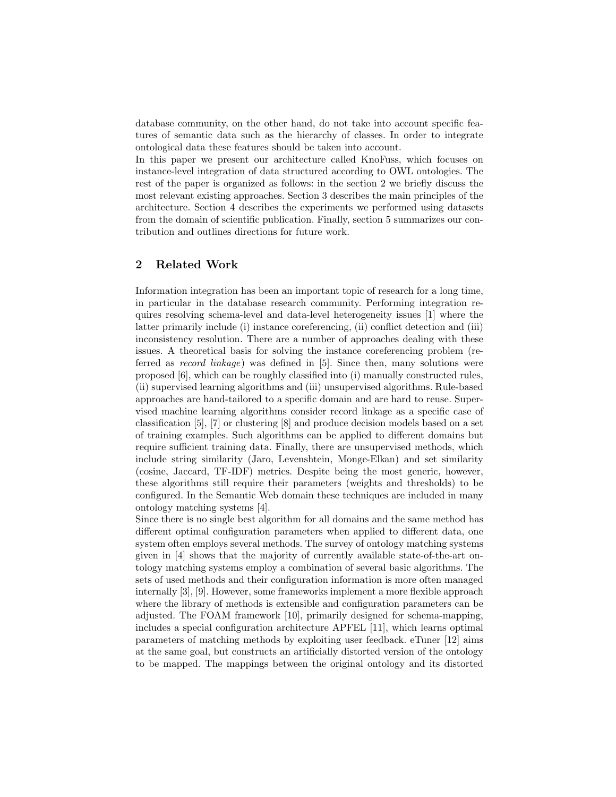database community, on the other hand, do not take into account specific features of semantic data such as the hierarchy of classes. In order to integrate ontological data these features should be taken into account.

In this paper we present our architecture called KnoFuss, which focuses on instance-level integration of data structured according to OWL ontologies. The rest of the paper is organized as follows: in the section 2 we briefly discuss the most relevant existing approaches. Section 3 describes the main principles of the architecture. Section 4 describes the experiments we performed using datasets from the domain of scientific publication. Finally, section 5 summarizes our contribution and outlines directions for future work.

#### 2 Related Work

Information integration has been an important topic of research for a long time, in particular in the database research community. Performing integration requires resolving schema-level and data-level heterogeneity issues [1] where the latter primarily include (i) instance coreferencing, (ii) conflict detection and (iii) inconsistency resolution. There are a number of approaches dealing with these issues. A theoretical basis for solving the instance coreferencing problem (referred as record linkage) was defined in [5]. Since then, many solutions were proposed [6], which can be roughly classified into (i) manually constructed rules, (ii) supervised learning algorithms and (iii) unsupervised algorithms. Rule-based approaches are hand-tailored to a specific domain and are hard to reuse. Supervised machine learning algorithms consider record linkage as a specific case of classification [5], [7] or clustering [8] and produce decision models based on a set of training examples. Such algorithms can be applied to different domains but require sufficient training data. Finally, there are unsupervised methods, which include string similarity (Jaro, Levenshtein, Monge-Elkan) and set similarity (cosine, Jaccard, TF-IDF) metrics. Despite being the most generic, however, these algorithms still require their parameters (weights and thresholds) to be configured. In the Semantic Web domain these techniques are included in many ontology matching systems [4].

Since there is no single best algorithm for all domains and the same method has different optimal configuration parameters when applied to different data, one system often employs several methods. The survey of ontology matching systems given in [4] shows that the majority of currently available state-of-the-art ontology matching systems employ a combination of several basic algorithms. The sets of used methods and their configuration information is more often managed internally [3], [9]. However, some frameworks implement a more flexible approach where the library of methods is extensible and configuration parameters can be adjusted. The FOAM framework [10], primarily designed for schema-mapping, includes a special configuration architecture APFEL [11], which learns optimal parameters of matching methods by exploiting user feedback. eTuner [12] aims at the same goal, but constructs an artificially distorted version of the ontology to be mapped. The mappings between the original ontology and its distorted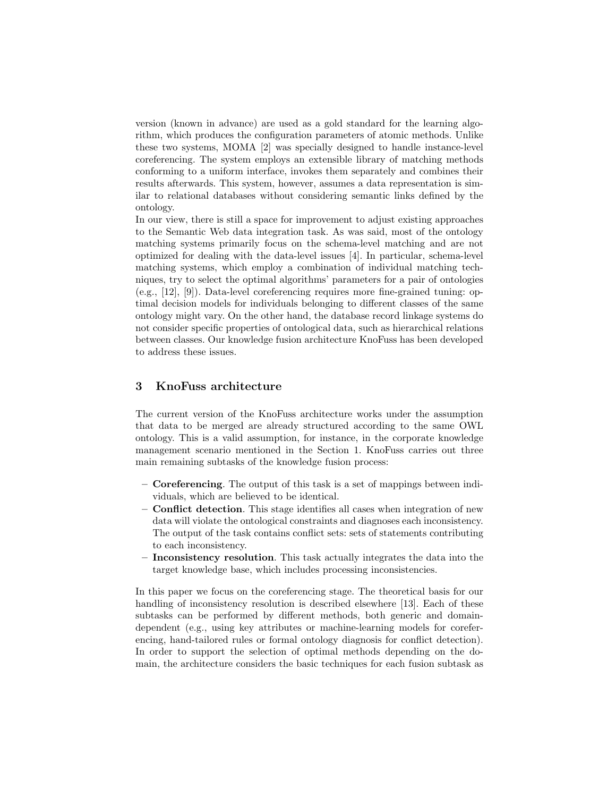version (known in advance) are used as a gold standard for the learning algorithm, which produces the configuration parameters of atomic methods. Unlike these two systems, MOMA [2] was specially designed to handle instance-level coreferencing. The system employs an extensible library of matching methods conforming to a uniform interface, invokes them separately and combines their results afterwards. This system, however, assumes a data representation is similar to relational databases without considering semantic links defined by the ontology.

In our view, there is still a space for improvement to adjust existing approaches to the Semantic Web data integration task. As was said, most of the ontology matching systems primarily focus on the schema-level matching and are not optimized for dealing with the data-level issues [4]. In particular, schema-level matching systems, which employ a combination of individual matching techniques, try to select the optimal algorithms' parameters for a pair of ontologies (e.g., [12], [9]). Data-level coreferencing requires more fine-grained tuning: optimal decision models for individuals belonging to different classes of the same ontology might vary. On the other hand, the database record linkage systems do not consider specific properties of ontological data, such as hierarchical relations between classes. Our knowledge fusion architecture KnoFuss has been developed to address these issues.

#### 3 KnoFuss architecture

The current version of the KnoFuss architecture works under the assumption that data to be merged are already structured according to the same OWL ontology. This is a valid assumption, for instance, in the corporate knowledge management scenario mentioned in the Section 1. KnoFuss carries out three main remaining subtasks of the knowledge fusion process:

- Coreferencing. The output of this task is a set of mappings between individuals, which are believed to be identical.
- Conflict detection. This stage identifies all cases when integration of new data will violate the ontological constraints and diagnoses each inconsistency. The output of the task contains conflict sets: sets of statements contributing to each inconsistency.
- Inconsistency resolution. This task actually integrates the data into the target knowledge base, which includes processing inconsistencies.

In this paper we focus on the coreferencing stage. The theoretical basis for our handling of inconsistency resolution is described elsewhere [13]. Each of these subtasks can be performed by different methods, both generic and domaindependent (e.g., using key attributes or machine-learning models for coreferencing, hand-tailored rules or formal ontology diagnosis for conflict detection). In order to support the selection of optimal methods depending on the domain, the architecture considers the basic techniques for each fusion subtask as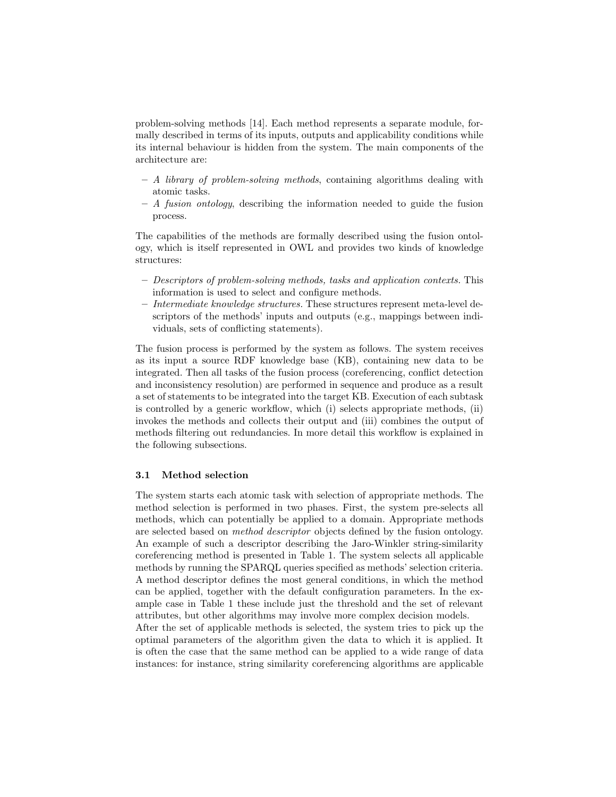problem-solving methods [14]. Each method represents a separate module, formally described in terms of its inputs, outputs and applicability conditions while its internal behaviour is hidden from the system. The main components of the architecture are:

- $A$  library of problem-solving methods, containing algorithms dealing with atomic tasks.
- $A$  fusion ontology, describing the information needed to guide the fusion process.

The capabilities of the methods are formally described using the fusion ontology, which is itself represented in OWL and provides two kinds of knowledge structures:

- Descriptors of problem-solving methods, tasks and application contexts. This information is used to select and configure methods.
- Intermediate knowledge structures. These structures represent meta-level descriptors of the methods' inputs and outputs (e.g., mappings between individuals, sets of conflicting statements).

The fusion process is performed by the system as follows. The system receives as its input a source RDF knowledge base (KB), containing new data to be integrated. Then all tasks of the fusion process (coreferencing, conflict detection and inconsistency resolution) are performed in sequence and produce as a result a set of statements to be integrated into the target KB. Execution of each subtask is controlled by a generic workflow, which (i) selects appropriate methods, (ii) invokes the methods and collects their output and (iii) combines the output of methods filtering out redundancies. In more detail this workflow is explained in the following subsections.

#### 3.1 Method selection

The system starts each atomic task with selection of appropriate methods. The method selection is performed in two phases. First, the system pre-selects all methods, which can potentially be applied to a domain. Appropriate methods are selected based on method descriptor objects defined by the fusion ontology. An example of such a descriptor describing the Jaro-Winkler string-similarity coreferencing method is presented in Table 1. The system selects all applicable methods by running the SPARQL queries specified as methods' selection criteria. A method descriptor defines the most general conditions, in which the method can be applied, together with the default configuration parameters. In the example case in Table 1 these include just the threshold and the set of relevant attributes, but other algorithms may involve more complex decision models.

After the set of applicable methods is selected, the system tries to pick up the optimal parameters of the algorithm given the data to which it is applied. It is often the case that the same method can be applied to a wide range of data instances: for instance, string similarity coreferencing algorithms are applicable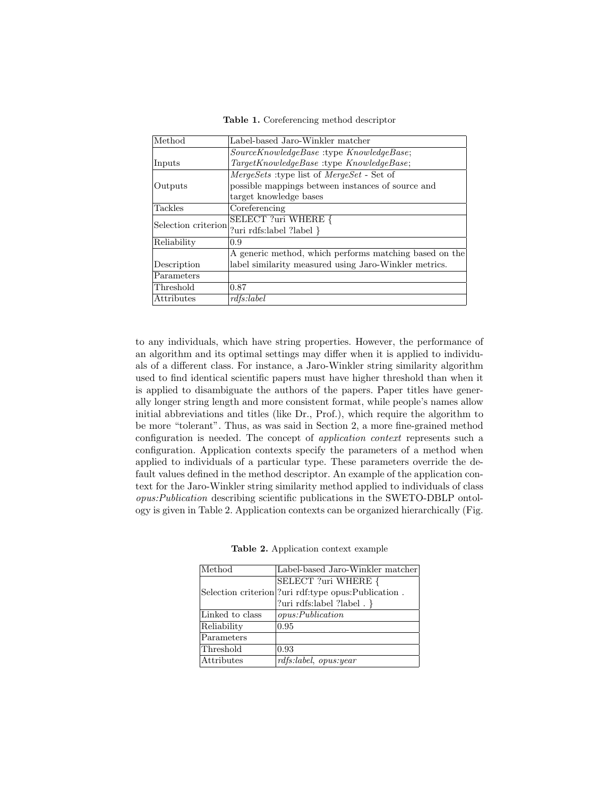Table 1. Coreferencing method descriptor

| Method              | Label-based Jaro-Winkler matcher                         |  |  |  |  |  |
|---------------------|----------------------------------------------------------|--|--|--|--|--|
|                     | SourceKnowledgeBase :type KnowledgeBase;                 |  |  |  |  |  |
| Inputs              | TargetKnowledgeBase :type KnowledgeBase;                 |  |  |  |  |  |
|                     | <i>MergeSets</i> : type list of <i>MergeSet</i> - Set of |  |  |  |  |  |
| Outputs             | possible mappings between instances of source and        |  |  |  |  |  |
|                     | target knowledge bases                                   |  |  |  |  |  |
| Tackles             | Coreferencing                                            |  |  |  |  |  |
| Selection criterion | SELECT ?uri WHERE {                                      |  |  |  |  |  |
|                     | ?uri rdfs:label ?label }                                 |  |  |  |  |  |
| Reliability         | 0.9                                                      |  |  |  |  |  |
|                     | A generic method, which performs matching based on the   |  |  |  |  |  |
| Description         | label similarity measured using Jaro-Winkler metrics.    |  |  |  |  |  |
| Parameters          |                                                          |  |  |  |  |  |
| Threshold           | 0.87                                                     |  |  |  |  |  |
| Attributes          | rdfs:label                                               |  |  |  |  |  |

to any individuals, which have string properties. However, the performance of an algorithm and its optimal settings may differ when it is applied to individuals of a different class. For instance, a Jaro-Winkler string similarity algorithm used to find identical scientific papers must have higher threshold than when it is applied to disambiguate the authors of the papers. Paper titles have generally longer string length and more consistent format, while people's names allow initial abbreviations and titles (like Dr., Prof.), which require the algorithm to be more "tolerant". Thus, as was said in Section 2, a more fine-grained method configuration is needed. The concept of application context represents such a configuration. Application contexts specify the parameters of a method when applied to individuals of a particular type. These parameters override the default values defined in the method descriptor. An example of the application context for the Jaro-Winkler string similarity method applied to individuals of class opus:Publication describing scientific publications in the SWETO-DBLP ontology is given in Table 2. Application contexts can be organized hierarchically (Fig.

| Method          | Label-based Jaro-Winkler matcher                     |  |  |  |  |  |
|-----------------|------------------------------------------------------|--|--|--|--|--|
|                 | SELECT ?uri WHERE {                                  |  |  |  |  |  |
|                 | Selection criterion ?uri rdf:type opus: Publication. |  |  |  |  |  |
|                 | ?uri rdfs:label ?label . }                           |  |  |  |  |  |
| Linked to class | opus:Publication                                     |  |  |  |  |  |
| Reliability     | 0.95                                                 |  |  |  |  |  |
| Parameters      |                                                      |  |  |  |  |  |
| Threshold       | 0.93                                                 |  |  |  |  |  |
| Attributes      | rdfs:label, opus:year                                |  |  |  |  |  |

Table 2. Application context example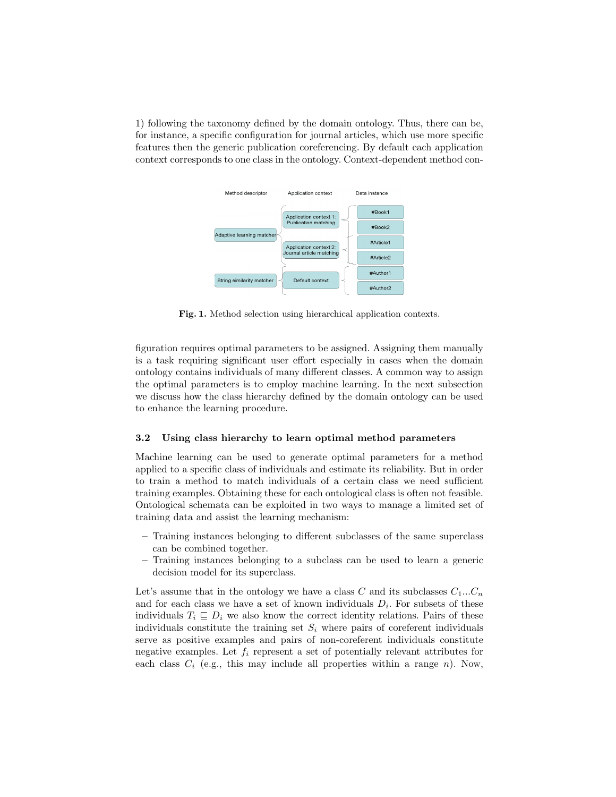1) following the taxonomy defined by the domain ontology. Thus, there can be, for instance, a specific configuration for journal articles, which use more specific features then the generic publication coreferencing. By default each application context corresponds to one class in the ontology. Context-dependent method con-



Fig. 1. Method selection using hierarchical application contexts.

figuration requires optimal parameters to be assigned. Assigning them manually is a task requiring significant user effort especially in cases when the domain ontology contains individuals of many different classes. A common way to assign the optimal parameters is to employ machine learning. In the next subsection we discuss how the class hierarchy defined by the domain ontology can be used to enhance the learning procedure.

#### 3.2 Using class hierarchy to learn optimal method parameters

Machine learning can be used to generate optimal parameters for a method applied to a specific class of individuals and estimate its reliability. But in order to train a method to match individuals of a certain class we need sufficient training examples. Obtaining these for each ontological class is often not feasible. Ontological schemata can be exploited in two ways to manage a limited set of training data and assist the learning mechanism:

- Training instances belonging to different subclasses of the same superclass can be combined together.
- Training instances belonging to a subclass can be used to learn a generic decision model for its superclass.

Let's assume that in the ontology we have a class C and its subclasses  $C_1...C_n$ and for each class we have a set of known individuals  $D_i$ . For subsets of these individuals  $T_i \subseteq D_i$  we also know the correct identity relations. Pairs of these individuals constitute the training set  $S_i$  where pairs of coreferent individuals serve as positive examples and pairs of non-coreferent individuals constitute negative examples. Let  $f_i$  represent a set of potentially relevant attributes for each class  $C_i$  (e.g., this may include all properties within a range n). Now,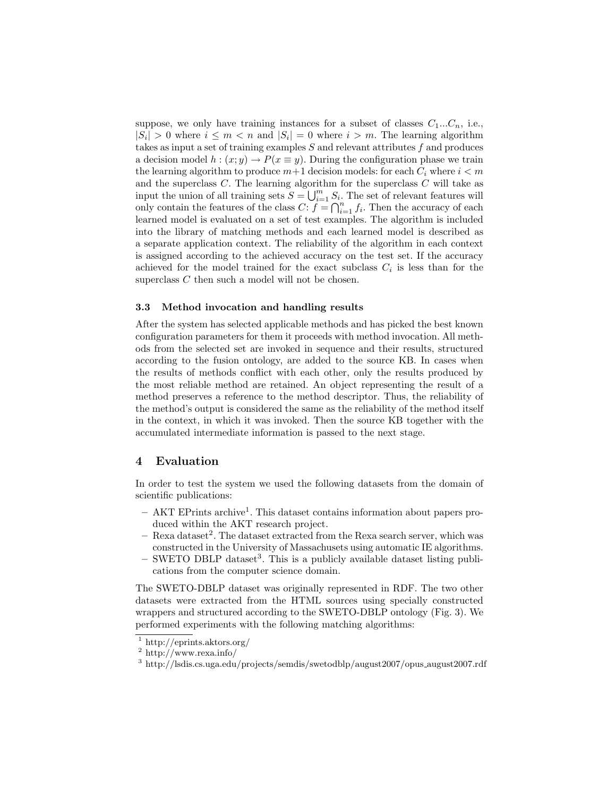suppose, we only have training instances for a subset of classes  $C_1...C_n$ , i.e.,  $|S_i| > 0$  where  $i \leq m < n$  and  $|S_i| = 0$  where  $i > m$ . The learning algorithm takes as input a set of training examples  $S$  and relevant attributes  $f$  and produces a decision model  $h: (x, y) \to P(x \equiv y)$ . During the configuration phase we train the learning algorithm to produce  $m+1$  decision models: for each  $C_i$  where  $i < m$ and the superclass  $C$ . The learning algorithm for the superclass  $C$  will take as input the union of all training sets  $S = \bigcup_{i=1}^{m} S_i$ . The set of relevant features will only contain the features of the class  $C: f = \bigcap_{i=1}^{n} f_i$ . Then the accuracy of each learned model is evaluated on a set of test examples. The algorithm is included into the library of matching methods and each learned model is described as a separate application context. The reliability of the algorithm in each context is assigned according to the achieved accuracy on the test set. If the accuracy achieved for the model trained for the exact subclass  $C_i$  is less than for the superclass  $C$  then such a model will not be chosen.

#### 3.3 Method invocation and handling results

After the system has selected applicable methods and has picked the best known configuration parameters for them it proceeds with method invocation. All methods from the selected set are invoked in sequence and their results, structured according to the fusion ontology, are added to the source KB. In cases when the results of methods conflict with each other, only the results produced by the most reliable method are retained. An object representing the result of a method preserves a reference to the method descriptor. Thus, the reliability of the method's output is considered the same as the reliability of the method itself in the context, in which it was invoked. Then the source KB together with the accumulated intermediate information is passed to the next stage.

#### 4 Evaluation

In order to test the system we used the following datasets from the domain of scientific publications:

- AKT EPrints archive<sup>1</sup>. This dataset contains information about papers produced within the AKT research project.
- $-$  Rexa dataset<sup>2</sup>. The dataset extracted from the Rexa search server, which was constructed in the University of Massachusets using automatic IE algorithms.
- SWETO DBLP dataset<sup>3</sup>. This is a publicly available dataset listing publications from the computer science domain.

The SWETO-DBLP dataset was originally represented in RDF. The two other datasets were extracted from the HTML sources using specially constructed wrappers and structured according to the SWETO-DBLP ontology (Fig. 3). We performed experiments with the following matching algorithms:

 $^{\rm 1}$ http://eprints.aktors.org/

 $^2$  http://www.rexa.info/

<sup>3</sup> http://lsdis.cs.uga.edu/projects/semdis/swetodblp/august2007/opus august2007.rdf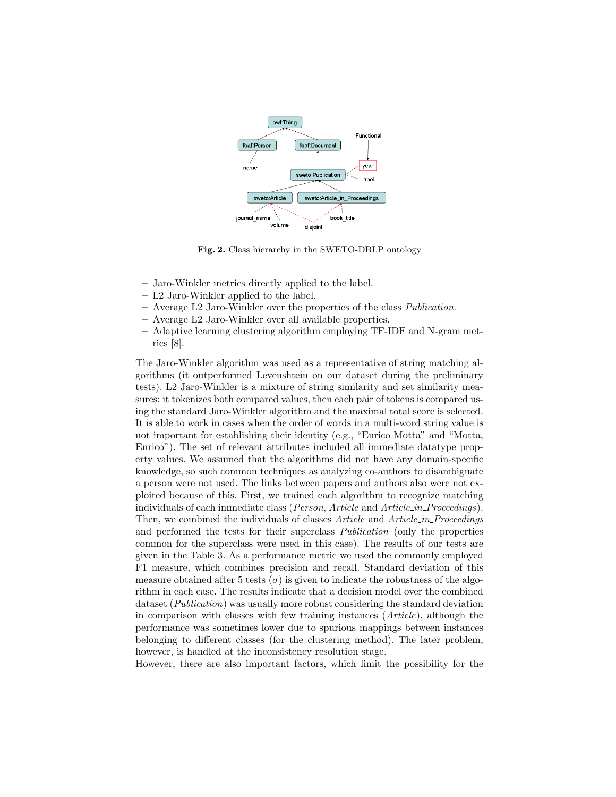

Fig. 2. Class hierarchy in the SWETO-DBLP ontology

- Jaro-Winkler metrics directly applied to the label.
- L2 Jaro-Winkler applied to the label.
- Average L2 Jaro-Winkler over the properties of the class Publication.
- Average L2 Jaro-Winkler over all available properties.
- Adaptive learning clustering algorithm employing TF-IDF and N-gram metrics [8].

The Jaro-Winkler algorithm was used as a representative of string matching algorithms (it outperformed Levenshtein on our dataset during the preliminary tests). L2 Jaro-Winkler is a mixture of string similarity and set similarity measures: it tokenizes both compared values, then each pair of tokens is compared using the standard Jaro-Winkler algorithm and the maximal total score is selected. It is able to work in cases when the order of words in a multi-word string value is not important for establishing their identity (e.g., "Enrico Motta" and "Motta, Enrico"). The set of relevant attributes included all immediate datatype property values. We assumed that the algorithms did not have any domain-specific knowledge, so such common techniques as analyzing co-authors to disambiguate a person were not used. The links between papers and authors also were not exploited because of this. First, we trained each algorithm to recognize matching individuals of each immediate class (Person, Article and Article<sub>in-Proceedings)</sub>. Then, we combined the individuals of classes *Article* and *Article in Proceedings* and performed the tests for their superclass Publication (only the properties common for the superclass were used in this case). The results of our tests are given in the Table 3. As a performance metric we used the commonly employed F1 measure, which combines precision and recall. Standard deviation of this measure obtained after 5 tests  $(\sigma)$  is given to indicate the robustness of the algorithm in each case. The results indicate that a decision model over the combined dataset (Publication) was usually more robust considering the standard deviation in comparison with classes with few training instances  $(Aritic)$ , although the performance was sometimes lower due to spurious mappings between instances belonging to different classes (for the clustering method). The later problem, however, is handled at the inconsistency resolution stage.

However, there are also important factors, which limit the possibility for the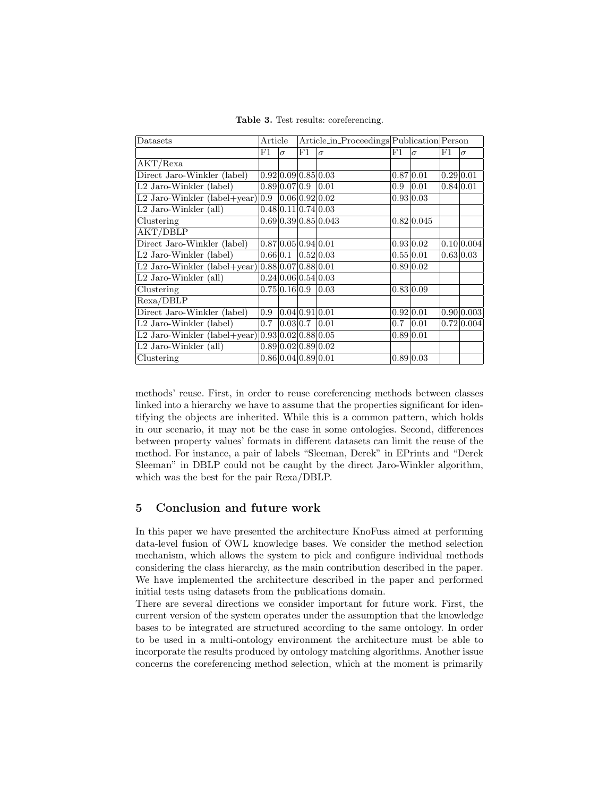| <b>Datasets</b>                                     |               | Article             |    | Article_in_Proceedings Publication Person |           |                |           |            |  |
|-----------------------------------------------------|---------------|---------------------|----|-------------------------------------------|-----------|----------------|-----------|------------|--|
|                                                     | F1            | $\sigma$            | F1 | $\sigma$                                  | F1        | $\sigma$       | F1        | $\sigma$   |  |
| AKT/Rexa                                            |               |                     |    |                                           |           |                |           |            |  |
| Direct Jaro-Winkler (label)                         |               | 0.92 0.09 0.85 0.03 |    |                                           |           | 0.87 0.01      | 0.29 0.01 |            |  |
| L2 Jaro-Winkler (label)                             |               | 0.89 0.07 0.9       |    | 0.01                                      | 0.9       | 0.01           | 0.84 0.01 |            |  |
| $L2$ Jaro-Winkler (label+year)                      | $ 0.9\rangle$ | 0.06 0.92 0.02      |    |                                           |           | 0.93 0.03      |           |            |  |
| $L2$ Jaro-Winkler (all)                             |               | 0.48 0.11 0.74 0.03 |    |                                           |           |                |           |            |  |
| Clustering                                          |               |                     |    | 0.69 0.39 0.85 0.043                      |           | 0.82 0.045     |           |            |  |
| $A\overline{KT/DBLP}$                               |               |                     |    |                                           |           |                |           |            |  |
| Direct Jaro-Winkler (label)                         |               | 0.87 0.05 0.94 0.01 |    |                                           |           | 0.93 0.02      |           | 0.10 0.004 |  |
| L2 Jaro-Winkler (label)                             | 0.66 0.1      |                     |    | 0.52 0.03                                 |           | 0.55 0.01      | 0.63 0.03 |            |  |
| L2 Jaro-Winkler (label+year) $ 0.88 0.07 0.88 0.01$ |               |                     |    |                                           |           | 0.89 0.02      |           |            |  |
| $L2$ Jaro-Winkler (all)                             |               | 0.24 0.06 0.54 0.03 |    |                                           |           |                |           |            |  |
| Clustering                                          |               | 0.75 0.16 0.9       |    | $ 0.03\rangle$                            |           | 0.83 0.09      |           |            |  |
| Rexa/DBLP                                           |               |                     |    |                                           |           |                |           |            |  |
| Direct Jaro-Winkler (label)                         |               | 0.04 0.91 0.01      |    |                                           | 0.92 0.01 |                |           | 0.90 0.003 |  |
| L2 Jaro-Winkler (label)<br>0.7                      |               | 0.03 0.7            |    | 0.01                                      | 0.7       | $ 0.01\rangle$ |           | 0.72 0.004 |  |
| L2 Jaro-Winkler (label+year) $ 0.93 0.02 0.88 0.05$ |               |                     |    |                                           | 0.89 0.01 |                |           |            |  |
| $L2$ Jaro-Winkler (all)                             |               | 0.89 0.02 0.89 0.02 |    |                                           |           |                |           |            |  |
| Clustering                                          |               | 0.86 0.04 0.89 0.01 |    |                                           |           | 0.89 0.03      |           |            |  |

Table 3. Test results: coreferencing.

methods' reuse. First, in order to reuse coreferencing methods between classes linked into a hierarchy we have to assume that the properties significant for identifying the objects are inherited. While this is a common pattern, which holds in our scenario, it may not be the case in some ontologies. Second, differences between property values' formats in different datasets can limit the reuse of the method. For instance, a pair of labels "Sleeman, Derek" in EPrints and "Derek Sleeman" in DBLP could not be caught by the direct Jaro-Winkler algorithm, which was the best for the pair Rexa/DBLP.

#### 5 Conclusion and future work

In this paper we have presented the architecture KnoFuss aimed at performing data-level fusion of OWL knowledge bases. We consider the method selection mechanism, which allows the system to pick and configure individual methods considering the class hierarchy, as the main contribution described in the paper. We have implemented the architecture described in the paper and performed initial tests using datasets from the publications domain.

There are several directions we consider important for future work. First, the current version of the system operates under the assumption that the knowledge bases to be integrated are structured according to the same ontology. In order to be used in a multi-ontology environment the architecture must be able to incorporate the results produced by ontology matching algorithms. Another issue concerns the coreferencing method selection, which at the moment is primarily